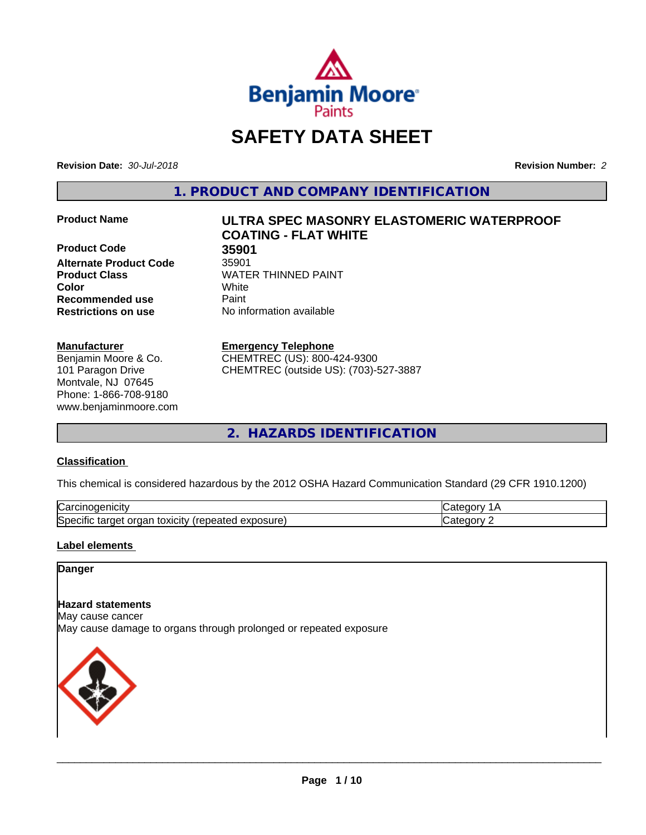

# **SAFETY DATA SHEET**

**Revision Date:** *30-Jul-2018* **Revision Number:** *2*

**1. PRODUCT AND COMPANY IDENTIFICATION**

**Product Code 35901 Alternate Product Code** 35901 **Product Class WATER THINNED PAINT Color** White **Recommended use Caint Restrictions on use** No information available

#### **Manufacturer**

Benjamin Moore & Co. 101 Paragon Drive Montvale, NJ 07645 Phone: 1-866-708-9180 www.benjaminmoore.com

# **Product Name ULTRA SPEC MASONRY ELASTOMERIC WATERPROOF COATING - FLAT WHITE**

#### **Emergency Telephone**

CHEMTREC (US): 800-424-9300 CHEMTREC (outside US): (703)-527-3887

**2. HAZARDS IDENTIFICATION**

#### **Classification**

This chemical is considered hazardous by the 2012 OSHA Hazard Communication Standard (29 CFR 1910.1200)

| ⌒<br>.<br>"Jarc™<br>пісн<br>…u⊔∪∪ ≔                                                  | ----     |
|--------------------------------------------------------------------------------------|----------|
| exposure<br>٠.<br>toxicity<br>SDe (<br>ordar<br>arger :<br>энк<br>.<br>calcu<br>50.U | ----<br> |

#### **Label elements**

#### **Danger**

#### **Hazard statements**

May cause cancer

May cause damage to organs through prolonged or repeated exposure

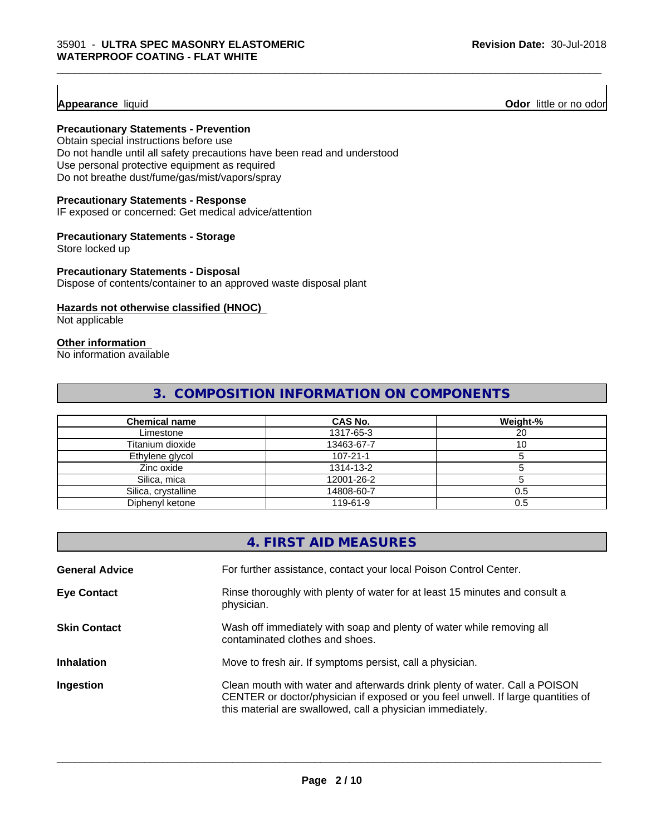**Appearance** liquid **Odor 11** Odor little or no odor

#### **Precautionary Statements - Prevention**

Obtain special instructions before use Do not handle until all safety precautions have been read and understood Use personal protective equipment as required Do not breathe dust/fume/gas/mist/vapors/spray

#### **Precautionary Statements - Response**

IF exposed or concerned: Get medical advice/attention

#### **Precautionary Statements - Storage**

Store locked up

#### **Precautionary Statements - Disposal**

Dispose of contents/container to an approved waste disposal plant

#### **Hazards not otherwise classified (HNOC)**

Not applicable

#### **Other information**

No information available

# **3. COMPOSITION INFORMATION ON COMPONENTS**

\_\_\_\_\_\_\_\_\_\_\_\_\_\_\_\_\_\_\_\_\_\_\_\_\_\_\_\_\_\_\_\_\_\_\_\_\_\_\_\_\_\_\_\_\_\_\_\_\_\_\_\_\_\_\_\_\_\_\_\_\_\_\_\_\_\_\_\_\_\_\_\_\_\_\_\_\_\_\_\_\_\_\_\_\_\_\_\_\_\_\_\_\_

| <b>Chemical name</b> | CAS No.        | Weight-% |
|----------------------|----------------|----------|
| Limestone            | 1317-65-3      | 20       |
| Titanium dioxide     | 13463-67-7     |          |
| Ethylene glycol      | $107 - 21 - 1$ |          |
| Zinc oxide           | 1314-13-2      |          |
| Silica, mica         | 12001-26-2     |          |
| Silica, crystalline  | 14808-60-7     | 0.5      |
| Diphenyl ketone      | 119-61-9       | 0.5      |

|                       | 4. FIRST AID MEASURES                                                                                                                                                                                                        |
|-----------------------|------------------------------------------------------------------------------------------------------------------------------------------------------------------------------------------------------------------------------|
| <b>General Advice</b> | For further assistance, contact your local Poison Control Center.                                                                                                                                                            |
| <b>Eye Contact</b>    | Rinse thoroughly with plenty of water for at least 15 minutes and consult a<br>physician.                                                                                                                                    |
| <b>Skin Contact</b>   | Wash off immediately with soap and plenty of water while removing all<br>contaminated clothes and shoes.                                                                                                                     |
| <b>Inhalation</b>     | Move to fresh air. If symptoms persist, call a physician.                                                                                                                                                                    |
| Ingestion             | Clean mouth with water and afterwards drink plenty of water. Call a POISON<br>CENTER or doctor/physician if exposed or you feel unwell. If large quantities of<br>this material are swallowed, call a physician immediately. |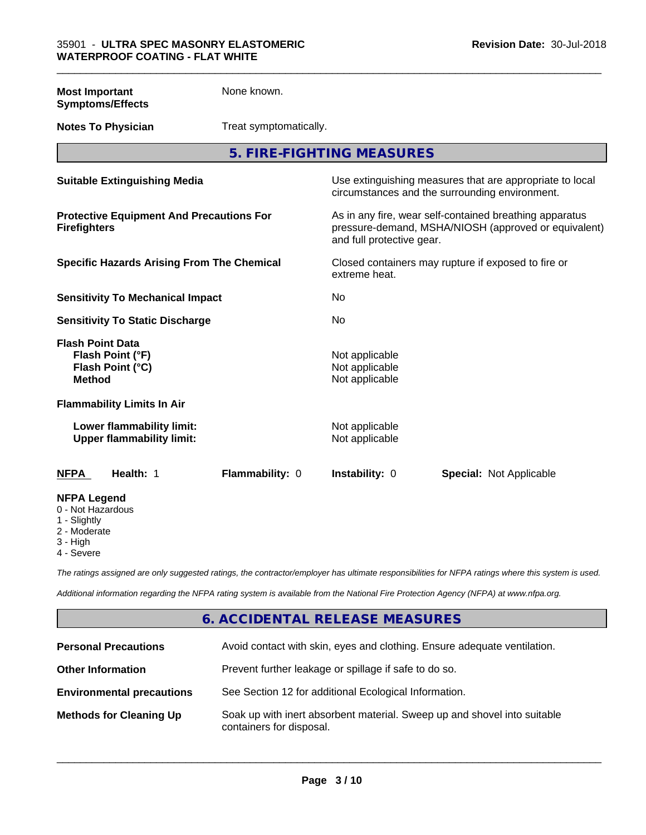| <b>Most Important</b><br><b>Symptoms/Effects</b>                                 | None known.            |                                                    |                                                                                                                 |
|----------------------------------------------------------------------------------|------------------------|----------------------------------------------------|-----------------------------------------------------------------------------------------------------------------|
| <b>Notes To Physician</b>                                                        | Treat symptomatically. |                                                    |                                                                                                                 |
|                                                                                  |                        | 5. FIRE-FIGHTING MEASURES                          |                                                                                                                 |
| <b>Suitable Extinguishing Media</b>                                              |                        |                                                    | Use extinguishing measures that are appropriate to local<br>circumstances and the surrounding environment.      |
| <b>Protective Equipment And Precautions For</b><br><b>Firefighters</b>           |                        | and full protective gear.                          | As in any fire, wear self-contained breathing apparatus<br>pressure-demand, MSHA/NIOSH (approved or equivalent) |
| <b>Specific Hazards Arising From The Chemical</b>                                |                        | extreme heat.                                      | Closed containers may rupture if exposed to fire or                                                             |
| <b>Sensitivity To Mechanical Impact</b>                                          |                        | <b>No</b>                                          |                                                                                                                 |
| <b>Sensitivity To Static Discharge</b>                                           |                        | <b>No</b>                                          |                                                                                                                 |
| <b>Flash Point Data</b><br>Flash Point (°F)<br>Flash Point (°C)<br><b>Method</b> |                        | Not applicable<br>Not applicable<br>Not applicable |                                                                                                                 |
| <b>Flammability Limits In Air</b>                                                |                        |                                                    |                                                                                                                 |
| Lower flammability limit:<br><b>Upper flammability limit:</b>                    |                        | Not applicable<br>Not applicable                   |                                                                                                                 |
| <b>NFPA</b><br>Health: 1                                                         | Flammability: 0        | Instability: 0                                     | <b>Special: Not Applicable</b>                                                                                  |
| <b>NFPA Legend</b><br>0 - Not Hazardous<br>1 - Slightly<br>2 - Moderate          |                        |                                                    |                                                                                                                 |

\_\_\_\_\_\_\_\_\_\_\_\_\_\_\_\_\_\_\_\_\_\_\_\_\_\_\_\_\_\_\_\_\_\_\_\_\_\_\_\_\_\_\_\_\_\_\_\_\_\_\_\_\_\_\_\_\_\_\_\_\_\_\_\_\_\_\_\_\_\_\_\_\_\_\_\_\_\_\_\_\_\_\_\_\_\_\_\_\_\_\_\_\_

- Moderate
- 3 High
- 4 Severe

*The ratings assigned are only suggested ratings, the contractor/employer has ultimate responsibilities for NFPA ratings where this system is used.*

*Additional information regarding the NFPA rating system is available from the National Fire Protection Agency (NFPA) at www.nfpa.org.*

# **6. ACCIDENTAL RELEASE MEASURES**

| <b>Personal Precautions</b>      | Avoid contact with skin, eyes and clothing. Ensure adequate ventilation.                             |
|----------------------------------|------------------------------------------------------------------------------------------------------|
| <b>Other Information</b>         | Prevent further leakage or spillage if safe to do so.                                                |
| <b>Environmental precautions</b> | See Section 12 for additional Ecological Information.                                                |
| <b>Methods for Cleaning Up</b>   | Soak up with inert absorbent material. Sweep up and shovel into suitable<br>containers for disposal. |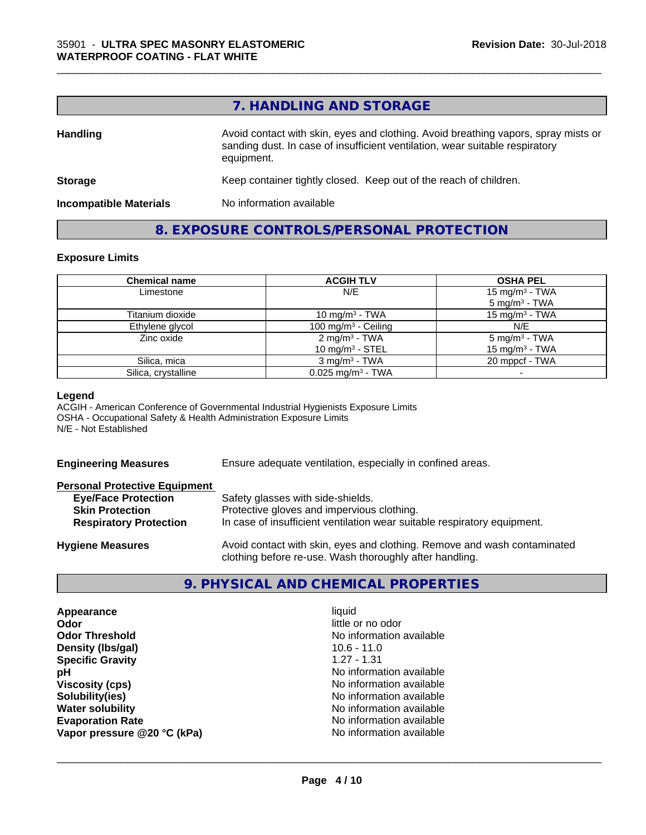## **7. HANDLING AND STORAGE**

\_\_\_\_\_\_\_\_\_\_\_\_\_\_\_\_\_\_\_\_\_\_\_\_\_\_\_\_\_\_\_\_\_\_\_\_\_\_\_\_\_\_\_\_\_\_\_\_\_\_\_\_\_\_\_\_\_\_\_\_\_\_\_\_\_\_\_\_\_\_\_\_\_\_\_\_\_\_\_\_\_\_\_\_\_\_\_\_\_\_\_\_\_

| <b>Handling</b>               | Avoid contact with skin, eyes and clothing. Avoid breathing vapors, spray mists or<br>sanding dust. In case of insufficient ventilation, wear suitable respiratory<br>equipment. |  |
|-------------------------------|----------------------------------------------------------------------------------------------------------------------------------------------------------------------------------|--|
| <b>Storage</b>                | Keep container tightly closed. Keep out of the reach of children.                                                                                                                |  |
| <b>Incompatible Materials</b> | No information available                                                                                                                                                         |  |

## **8. EXPOSURE CONTROLS/PERSONAL PROTECTION**

#### **Exposure Limits**

| <b>Chemical name</b> | <b>ACGIH TLV</b>                                | <b>OSHA PEL</b>                                         |
|----------------------|-------------------------------------------------|---------------------------------------------------------|
| Limestone            | N/E                                             | 15 mg/m <sup>3</sup> - TWA<br>5 mg/m <sup>3</sup> - TWA |
| Titanium dioxide     | 10 mg/m $3$ - TWA                               | 15 mg/m $3$ - TWA                                       |
| Ethylene glycol      | 100 mg/m $3$ - Ceiling                          | N/E                                                     |
| Zinc oxide           | 2 mg/m <sup>3</sup> - TWA<br>10 mg/m $3$ - STEL | $5 \text{ mg/m}^3$ - TWA<br>15 mg/m <sup>3</sup> - TWA  |
| Silica, mica         | $3 \text{ ma/m}^3$ - TWA                        | 20 mppcf - TWA                                          |
| Silica, crystalline  | $0.025$ mg/m <sup>3</sup> - TWA                 |                                                         |

#### **Legend**

ACGIH - American Conference of Governmental Industrial Hygienists Exposure Limits OSHA - Occupational Safety & Health Administration Exposure Limits N/E - Not Established

| <b>Engineering Measures</b> | <b>Ensure adequate</b> |
|-----------------------------|------------------------|
|-----------------------------|------------------------|

ventilation, especially in confined areas.

| <b>Personal Protective Equipment</b> |                                                                          |
|--------------------------------------|--------------------------------------------------------------------------|
| <b>Eye/Face Protection</b>           | Safety glasses with side-shields.                                        |
| <b>Skin Protection</b>               | Protective gloves and impervious clothing.                               |
| <b>Respiratory Protection</b>        | In case of insufficient ventilation wear suitable respiratory equipment. |
| <b>Hygiene Measures</b>              | Avoid contact with skin, eyes and clothing. Remove and wash contaminated |

#### **9. PHYSICAL AND CHEMICAL PROPERTIES**

clothing before re-use. Wash thoroughly after handling.

| Appearance                  | liquid                   |
|-----------------------------|--------------------------|
| Odor                        | little or no odor        |
| <b>Odor Threshold</b>       | No information available |
| Density (Ibs/gal)           | $10.6 - 11.0$            |
| <b>Specific Gravity</b>     | $1.27 - 1.31$            |
| рH                          | No information available |
| <b>Viscosity (cps)</b>      | No information available |
| Solubility(ies)             | No information available |
| <b>Water solubility</b>     | No information available |
| <b>Evaporation Rate</b>     | No information available |
| Vapor pressure @20 °C (kPa) | No information available |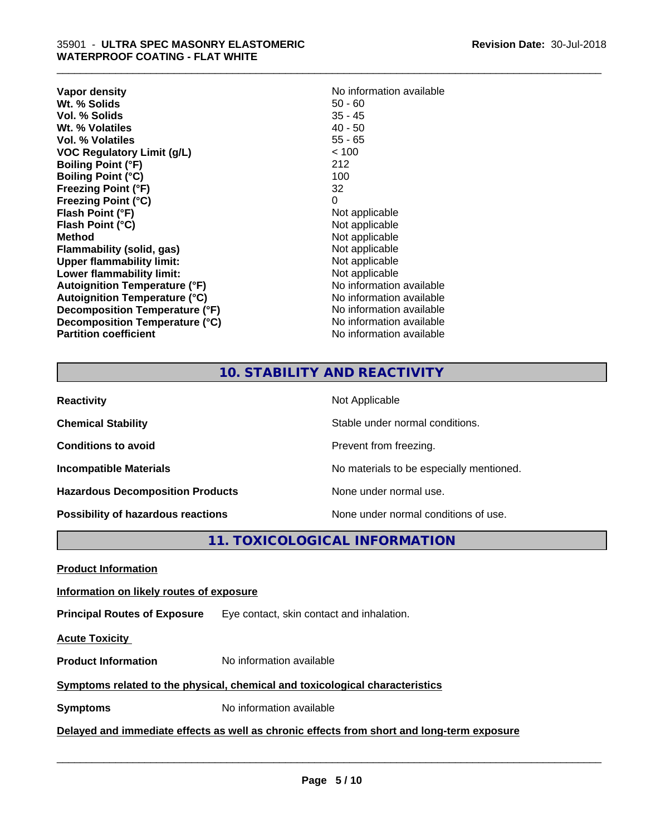| Vapor density                        | No information available |
|--------------------------------------|--------------------------|
| Wt. % Solids                         | $50 - 60$                |
| Vol. % Solids                        | $35 - 45$                |
| Wt. % Volatiles                      | $40 - 50$                |
| Vol. % Volatiles                     | $55 - 65$                |
| <b>VOC Regulatory Limit (g/L)</b>    | < 100                    |
| <b>Boiling Point (°F)</b>            | 212                      |
| <b>Boiling Point (°C)</b>            | 100                      |
| <b>Freezing Point (°F)</b>           | 32                       |
| <b>Freezing Point (°C)</b>           | 0                        |
| Flash Point (°F)                     | Not applicable           |
| Flash Point (°C)                     | Not applicable           |
| <b>Method</b>                        | Not applicable           |
| <b>Flammability (solid, gas)</b>     | Not applicable           |
| <b>Upper flammability limit:</b>     | Not applicable           |
| Lower flammability limit:            | Not applicable           |
| Autoignition Temperature (°F)        | No information available |
| <b>Autoignition Temperature (°C)</b> | No information available |
| Decomposition Temperature (°F)       | No information available |
| Decomposition Temperature (°C)       | No information available |
| <b>Partition coefficient</b>         | No information available |

\_\_\_\_\_\_\_\_\_\_\_\_\_\_\_\_\_\_\_\_\_\_\_\_\_\_\_\_\_\_\_\_\_\_\_\_\_\_\_\_\_\_\_\_\_\_\_\_\_\_\_\_\_\_\_\_\_\_\_\_\_\_\_\_\_\_\_\_\_\_\_\_\_\_\_\_\_\_\_\_\_\_\_\_\_\_\_\_\_\_\_\_\_

### **10. STABILITY AND REACTIVITY**

| <b>Reactivity</b>                         | Not Applicable                           |
|-------------------------------------------|------------------------------------------|
| <b>Chemical Stability</b>                 | Stable under normal conditions.          |
| <b>Conditions to avoid</b>                | Prevent from freezing.                   |
| <b>Incompatible Materials</b>             | No materials to be especially mentioned. |
| <b>Hazardous Decomposition Products</b>   | None under normal use.                   |
| <b>Possibility of hazardous reactions</b> | None under normal conditions of use.     |

**11. TOXICOLOGICAL INFORMATION**

**Product Information**

#### **Information on likely routes of exposure**

**Principal Routes of Exposure** Eye contact, skin contact and inhalation.

**Acute Toxicity** 

**Product Information** No information available

#### **Symptoms related to the physical,chemical and toxicological characteristics**

**Symptoms** No information available

**Delayed and immediate effects as well as chronic effects from short and long-term exposure**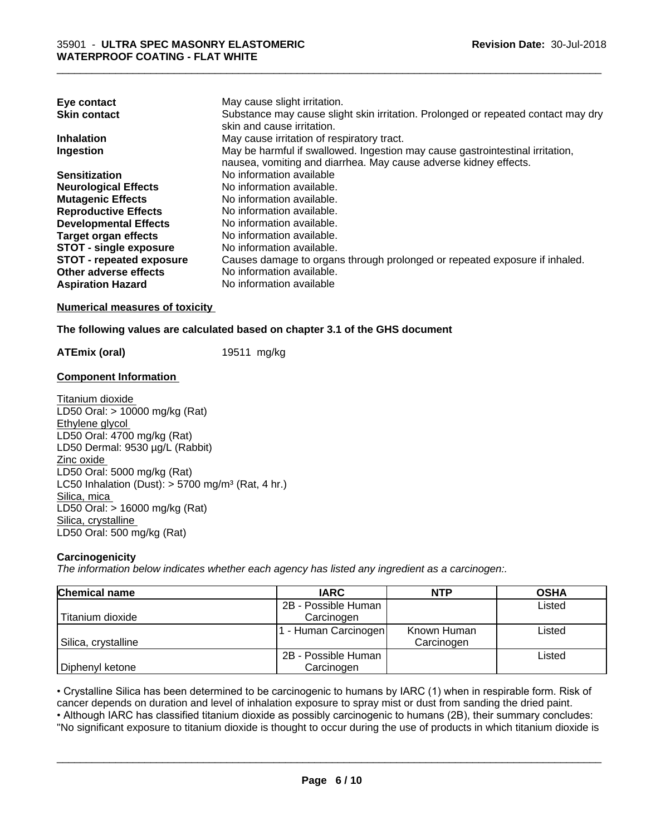| Eye contact                     | May cause slight irritation.                                                      |
|---------------------------------|-----------------------------------------------------------------------------------|
| <b>Skin contact</b>             | Substance may cause slight skin irritation. Prolonged or repeated contact may dry |
|                                 | skin and cause irritation.                                                        |
| <b>Inhalation</b>               | May cause irritation of respiratory tract.                                        |
| Ingestion                       | May be harmful if swallowed. Ingestion may cause gastrointestinal irritation,     |
|                                 | nausea, vomiting and diarrhea. May cause adverse kidney effects.                  |
| <b>Sensitization</b>            | No information available                                                          |
| <b>Neurological Effects</b>     | No information available.                                                         |
| <b>Mutagenic Effects</b>        | No information available.                                                         |
| <b>Reproductive Effects</b>     | No information available.                                                         |
| <b>Developmental Effects</b>    | No information available.                                                         |
| <b>Target organ effects</b>     | No information available.                                                         |
| <b>STOT - single exposure</b>   | No information available.                                                         |
| <b>STOT - repeated exposure</b> | Causes damage to organs through prolonged or repeated exposure if inhaled.        |
| Other adverse effects           | No information available.                                                         |
| <b>Aspiration Hazard</b>        | No information available                                                          |

#### **Numerical measures of toxicity**

#### **The following values are calculated based on chapter 3.1 of the GHS document**

**ATEmix (oral)** 19511 mg/kg

#### **Component Information**

Titanium dioxide LD50 Oral: > 10000 mg/kg (Rat) Ethylene glycol LD50 Oral: 4700 mg/kg (Rat) LD50 Dermal: 9530 µg/L (Rabbit) Zinc oxide LD50 Oral: 5000 mg/kg (Rat) LC50 Inhalation (Dust):  $> 5700$  mg/m<sup>3</sup> (Rat, 4 hr.) Silica, mica LD50 Oral: > 16000 mg/kg (Rat) Silica, crystalline LD50 Oral: 500 mg/kg (Rat)

#### **Carcinogenicity**

*The information below indicateswhether each agency has listed any ingredient as a carcinogen:.*

| <b>Chemical name</b> | <b>IARC</b>         | <b>NTP</b>  | <b>OSHA</b> |
|----------------------|---------------------|-------------|-------------|
|                      | 2B - Possible Human |             | Listed      |
| Titanium dioxide     | Carcinogen          |             |             |
|                      | - Human Carcinogen  | Known Human | Listed      |
| Silica, crystalline  |                     | Carcinogen  |             |
|                      | 2B - Possible Human |             | Listed      |
| Diphenyl ketone      | Carcinogen          |             |             |

• Crystalline Silica has been determined to be carcinogenic to humans by IARC (1) when in respirable form. Risk of cancer depends on duration and level of inhalation exposure to spray mist or dust from sanding the dried pa cancer depends on duration and level of inhalation exposure to spray mist or dust from sanding the dried paint.

• Although IARC has classified titanium dioxide as possibly carcinogenic to humans (2B), their summary concludes: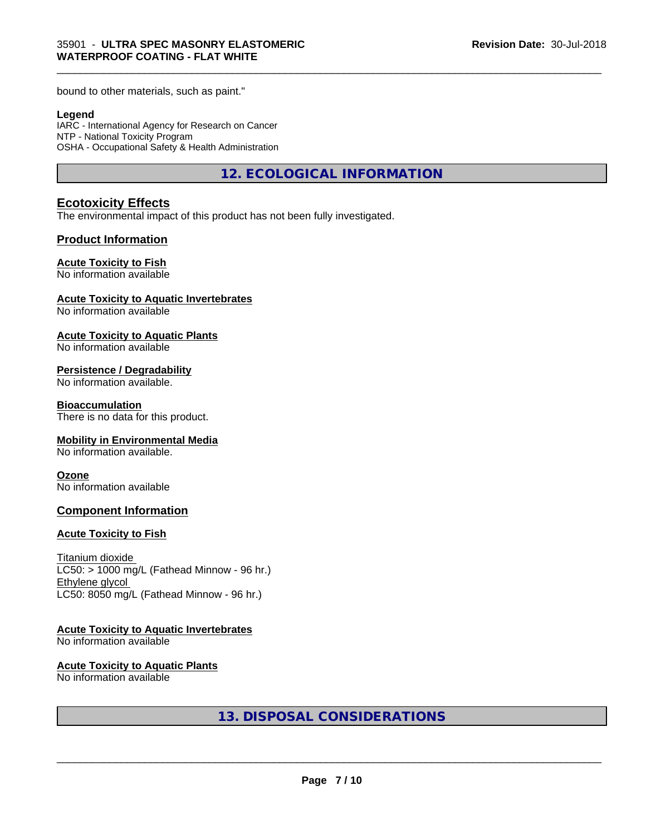bound to other materials, such as paint."

#### **Legend**

IARC - International Agency for Research on Cancer NTP - National Toxicity Program OSHA - Occupational Safety & Health Administration

**12. ECOLOGICAL INFORMATION**

\_\_\_\_\_\_\_\_\_\_\_\_\_\_\_\_\_\_\_\_\_\_\_\_\_\_\_\_\_\_\_\_\_\_\_\_\_\_\_\_\_\_\_\_\_\_\_\_\_\_\_\_\_\_\_\_\_\_\_\_\_\_\_\_\_\_\_\_\_\_\_\_\_\_\_\_\_\_\_\_\_\_\_\_\_\_\_\_\_\_\_\_\_

#### **Ecotoxicity Effects**

The environmental impact of this product has not been fully investigated.

#### **Product Information**

#### **Acute Toxicity to Fish**

No information available

#### **Acute Toxicity to Aquatic Invertebrates**

No information available

#### **Acute Toxicity to Aquatic Plants**

No information available

#### **Persistence / Degradability**

No information available.

#### **Bioaccumulation**

There is no data for this product.

#### **Mobility in Environmental Media**

No information available.

#### **Ozone**

No information available

#### **Component Information**

#### **Acute Toxicity to Fish**

Titanium dioxide  $LC50:$  > 1000 mg/L (Fathead Minnow - 96 hr.) Ethylene glycol LC50: 8050 mg/L (Fathead Minnow - 96 hr.)

#### **Acute Toxicity to Aquatic Invertebrates**

No information available

#### **Acute Toxicity to Aquatic Plants**

No information available

**13. DISPOSAL CONSIDERATIONS**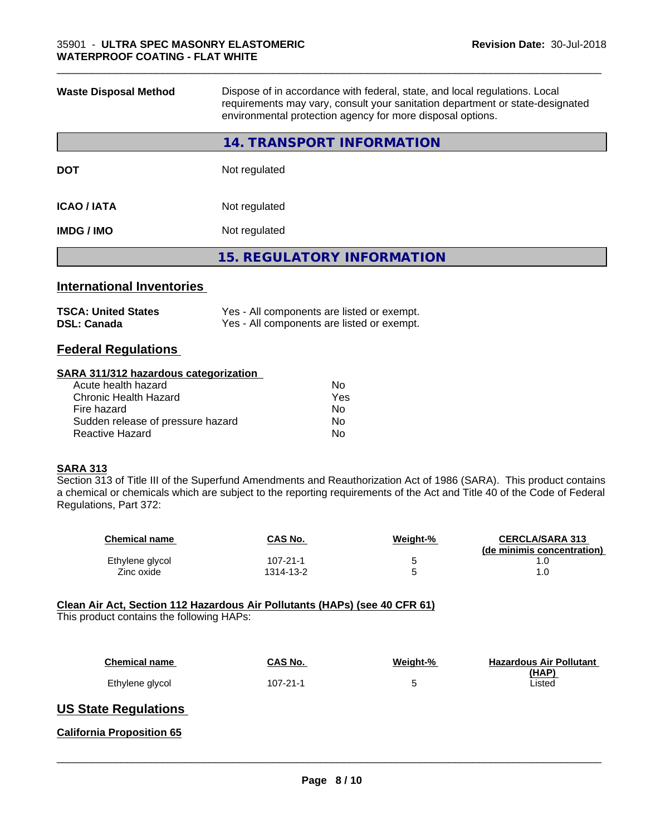| <b>Waste Disposal Method</b> | Dispose of in accordance with federal, state, and local regulations. Local<br>requirements may vary, consult your sanitation department or state-designated<br>environmental protection agency for more disposal options. |  |  |
|------------------------------|---------------------------------------------------------------------------------------------------------------------------------------------------------------------------------------------------------------------------|--|--|
|                              | 14. TRANSPORT INFORMATION                                                                                                                                                                                                 |  |  |
| <b>DOT</b>                   | Not regulated                                                                                                                                                                                                             |  |  |
| <b>ICAO / IATA</b>           | Not regulated                                                                                                                                                                                                             |  |  |
| <b>IMDG / IMO</b>            | Not regulated                                                                                                                                                                                                             |  |  |
|                              | <b>15. REGULATORY INFORMATION</b>                                                                                                                                                                                         |  |  |
|                              |                                                                                                                                                                                                                           |  |  |

\_\_\_\_\_\_\_\_\_\_\_\_\_\_\_\_\_\_\_\_\_\_\_\_\_\_\_\_\_\_\_\_\_\_\_\_\_\_\_\_\_\_\_\_\_\_\_\_\_\_\_\_\_\_\_\_\_\_\_\_\_\_\_\_\_\_\_\_\_\_\_\_\_\_\_\_\_\_\_\_\_\_\_\_\_\_\_\_\_\_\_\_\_

#### **International Inventories**

| <b>TSCA: United States</b> | Yes - All components are listed or exempt. |
|----------------------------|--------------------------------------------|
| <b>DSL: Canada</b>         | Yes - All components are listed or exempt. |

#### **Federal Regulations**

#### **SARA 311/312 hazardous categorization**

| No  |
|-----|
| Yes |
| No  |
| Nο  |
| N٥  |
|     |

#### **SARA 313**

Section 313 of Title III of the Superfund Amendments and Reauthorization Act of 1986 (SARA). This product contains a chemical or chemicals which are subject to the reporting requirements of the Act and Title 40 of the Code of Federal Regulations, Part 372:

| <b>Chemical name</b> | CAS No.   | Weight-% | <b>CERCLA/SARA 313</b><br>(de minimis concentration) |
|----------------------|-----------|----------|------------------------------------------------------|
| Ethylene glycol      | 107-21-1  |          |                                                      |
| Zinc oxide           | 1314-13-2 |          |                                                      |

#### **Clean Air Act,Section 112 Hazardous Air Pollutants (HAPs) (see 40 CFR 61)**

This product contains the following HAPs:

| <b>Chemical name</b> | CAS No.  | Weight-% | <b>Hazardous Air Pollutant</b><br>(HAP) |
|----------------------|----------|----------|-----------------------------------------|
| Ethylene glycol      | 107-21-1 |          | Listed                                  |

#### **US State Regulations**

**California Proposition 65**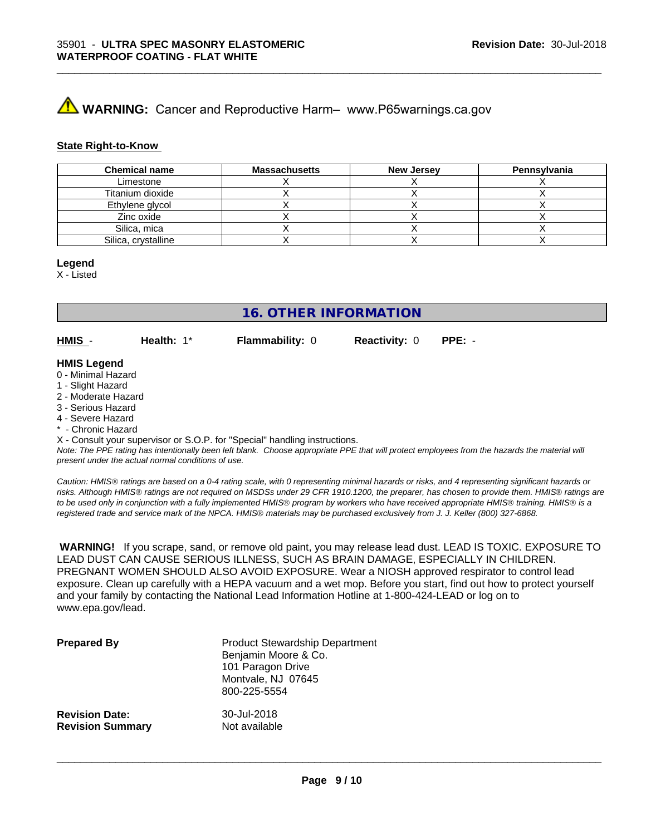# **A WARNING:** Cancer and Reproductive Harm– www.P65warnings.ca.gov

#### **State Right-to-Know**

| <b>Chemical name</b> | <b>Massachusetts</b> | <b>New Jersey</b> | Pennsylvania |
|----------------------|----------------------|-------------------|--------------|
| Limestone            |                      |                   |              |
| Titanium dioxide     |                      |                   |              |
| Ethylene glycol      |                      |                   |              |
| Zinc oxide           |                      |                   |              |
| Silica, mica         |                      |                   |              |
| Silica, crystalline  |                      |                   |              |

\_\_\_\_\_\_\_\_\_\_\_\_\_\_\_\_\_\_\_\_\_\_\_\_\_\_\_\_\_\_\_\_\_\_\_\_\_\_\_\_\_\_\_\_\_\_\_\_\_\_\_\_\_\_\_\_\_\_\_\_\_\_\_\_\_\_\_\_\_\_\_\_\_\_\_\_\_\_\_\_\_\_\_\_\_\_\_\_\_\_\_\_\_

#### **Legend**

X - Listed

**16. OTHER INFORMATION**

**HMIS** - **Health:** 1\* **Flammability:** 0 **Reactivity:** 0 **PPE:** -

#### **HMIS Legend**

- 0 Minimal Hazard
- 1 Slight Hazard
- 2 Moderate Hazard
- 3 Serious Hazard
- 4 Severe Hazard
- Chronic Hazard

X - Consult your supervisor or S.O.P. for "Special" handling instructions.

*Note: The PPE rating has intentionally been left blank. Choose appropriate PPE that will protect employees from the hazards the material will present under the actual normal conditions of use.*

*Caution: HMISÒ ratings are based on a 0-4 rating scale, with 0 representing minimal hazards or risks, and 4 representing significant hazards or risks. Although HMISÒ ratings are not required on MSDSs under 29 CFR 1910.1200, the preparer, has chosen to provide them. HMISÒ ratings are to be used only in conjunction with a fully implemented HMISÒ program by workers who have received appropriate HMISÒ training. HMISÒ is a registered trade and service mark of the NPCA. HMISÒ materials may be purchased exclusively from J. J. Keller (800) 327-6868.*

 **WARNING!** If you scrape, sand, or remove old paint, you may release lead dust. LEAD IS TOXIC. EXPOSURE TO LEAD DUST CAN CAUSE SERIOUS ILLNESS, SUCH AS BRAIN DAMAGE, ESPECIALLY IN CHILDREN. PREGNANT WOMEN SHOULD ALSO AVOID EXPOSURE.Wear a NIOSH approved respirator to control lead exposure. Clean up carefully with a HEPA vacuum and a wet mop. Before you start, find out how to protect yourself and your family by contacting the National Lead Information Hotline at 1-800-424-LEAD or log on to www.epa.gov/lead.

| <b>Prepared By</b>      | <b>Product Stewardship Department</b><br>Benjamin Moore & Co.<br>101 Paragon Drive<br>Montvale, NJ 07645<br>800-225-5554 |
|-------------------------|--------------------------------------------------------------------------------------------------------------------------|
| <b>Revision Date:</b>   | 30-Jul-2018                                                                                                              |
| <b>Revision Summary</b> | Not available                                                                                                            |